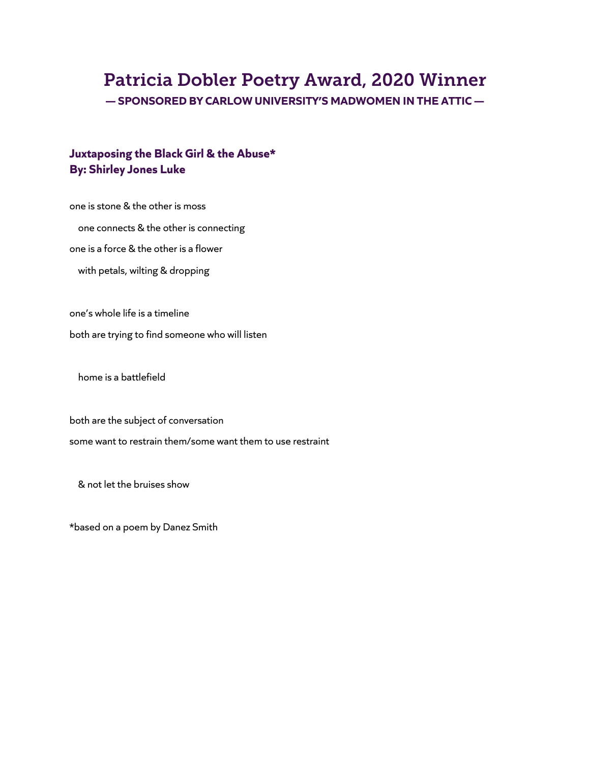# Patricia Dobler Poetry Award, 2020 Winner

**— SPONSORED BY CARLOW UNIVERSITY'S MADWOMEN IN THE ATTIC —**

# **Juxtaposing the Black Girl & the Abuse\* By: Shirley Jones Luke**

one is stone & the other is moss one connects & the other is connecting one is a force & the other is a flower with petals, wilting & dropping

one's whole life is a timeline both are trying to find someone who will listen

home is a battlefield

both are the subject of conversation some want to restrain them/some want them to use restraint

& not let the bruises show

\*based on a poem by Danez Smith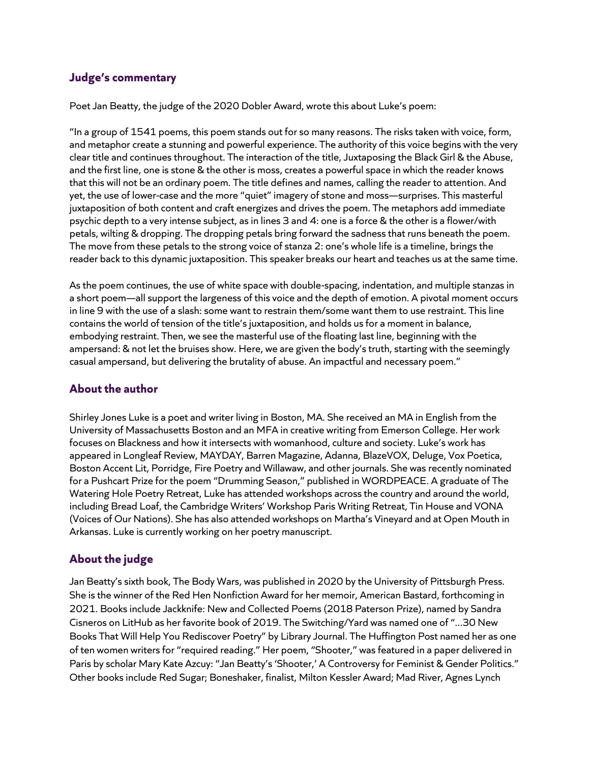#### **Judge's commentary**

Poet Jan Beatty, the judge of the 2020 Dobler Award, wrote this about Luke's poem:

"In a group of 1541 poems, this poem stands out for so many reasons. The risks taken with voice, form, and metaphor create a stunning and powerful experience. The authority of this voice begins with the very clear title and continues throughout. The interaction of the title, Juxtaposing the Black Girl & the Abuse, and the first line, one is stone & the other is moss, creates a powerful space in which the reader knows that this will not be an ordinary poem. The title defines and names, calling the reader to attention. And yet, the use of lower-case and the more "quiet" imagery of stone and moss—surprises. This masterful juxtaposition of both content and craft energizes and drives the poem. The metaphors add immediate psychic depth to a very intense subject, as in lines 3 and 4: one is a force & the other is a flower/with petals, wilting & dropping. The dropping petals bring forward the sadness that runs beneath the poem. The move from these petals to the strong voice of stanza 2: one's whole life is a timeline, brings the reader back to this dynamic juxtaposition. This speaker breaks our heart and teaches us at the same time.

As the poem continues, the use of white space with double-spacing, indentation, and multiple stanzas in a short poem—all support the largeness of this voice and the depth of emotion. A pivotal moment occurs in line 9 with the use of a slash: some want to restrain them/some want them to use restraint. This line contains the world of tension of the title's juxtaposition, and holds us for a moment in balance, embodying restraint. Then, we see the masterful use of the floating last line, beginning with the ampersand: & not let the bruises show. Here, we are given the body's truth, starting with the seemingly casual ampersand, but delivering the brutality of abuse. An impactful and necessary poem."

## **About the author**

Shirley Jones Luke is a poet and writer living in Boston, MA. She received an MA in English from the University of Massachusetts Boston and an MFA in creative writing from Emerson College. Her work focuses on Blackness and how it intersects with womanhood, culture and society. Luke's work has appeared in Longleaf Review, MAYDAY, Barren Magazine, Adanna, BlazeVOX, Deluge, Vox Poetica, Boston Accent Lit, Porridge, Fire Poetry and Willawaw, and other journals. She was recently nominated for a Pushcart Prize for the poem "Drumming Season," published in WORDPEACE. A graduate of The Watering Hole Poetry Retreat, Luke has attended workshops across the country and around the world, including Bread Loaf, the Cambridge Writers' Workshop Paris Writing Retreat, Tin House and VONA (Voices of Our Nations). She has also attended workshops on Martha's Vineyard and at Open Mouth in Arkansas. Luke is currently working on her poetry manuscript.

## **About the judge**

Jan Beatty's sixth book, The Body Wars, was published in 2020 by the University of Pittsburgh Press. She is the winner of the Red Hen Nonfiction Award for her memoir, American Bastard, forthcoming in 2021. Books include Jackknife: New and Collected Poems (2018 Paterson Prize), named by Sandra Cisneros on LitHub as her favorite book of 2019. The Switching/Yard was named one of "...30 New Books That Will Help You Rediscover Poetry" by Library Journal. The Huffington Post named her as one of ten women writers for "required reading." Her poem, "Shooter," was featured in a paper delivered in Paris by scholar Mary Kate Azcuy: "Jan Beatty's 'Shooter,' A Controversy for Feminist & Gender Politics." Other books include Red Sugar; Boneshaker, finalist, Milton Kessler Award; Mad River, Agnes Lynch